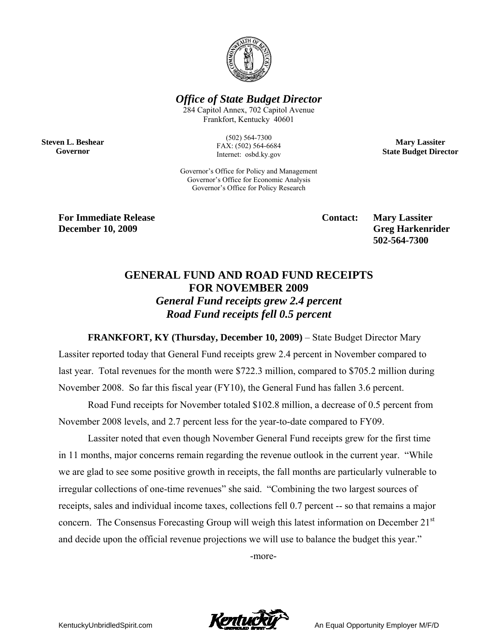

*Office of State Budget Director* 

284 Capitol Annex, 702 Capitol Avenue Frankfort, Kentucky 40601

**Steven L. Beshear Governor** 

(502) 564-7300 FAX: (502) 564-6684 Internet: osbd.ky.gov

Governor's Office for Policy and Management Governor's Office for Economic Analysis Governor's Office for Policy Research

**Mary Lassiter State Budget Director** 

**For Immediate Release Service Service Service Contact: Mary Lassiter December 10, 2009** Greg Harkenrider **Greg Harkenrider Greg Harkenrider Greg Harkenrider** 

 **502-564-7300** 

## **GENERAL FUND AND ROAD FUND RECEIPTS FOR NOVEMBER 2009**  *General Fund receipts grew 2.4 percent Road Fund receipts fell 0.5 percent*

**FRANKFORT, KY (Thursday, December 10, 2009)** – State Budget Director Mary

Lassiter reported today that General Fund receipts grew 2.4 percent in November compared to last year. Total revenues for the month were \$722.3 million, compared to \$705.2 million during November 2008. So far this fiscal year (FY10), the General Fund has fallen 3.6 percent.

Road Fund receipts for November totaled \$102.8 million, a decrease of 0.5 percent from November 2008 levels, and 2.7 percent less for the year-to-date compared to FY09.

Lassiter noted that even though November General Fund receipts grew for the first time in 11 months, major concerns remain regarding the revenue outlook in the current year. "While we are glad to see some positive growth in receipts, the fall months are particularly vulnerable to irregular collections of one-time revenues" she said. "Combining the two largest sources of receipts, sales and individual income taxes, collections fell 0.7 percent -- so that remains a major concern. The Consensus Forecasting Group will weigh this latest information on December 21<sup>st</sup> and decide upon the official revenue projections we will use to balance the budget this year."

-more-

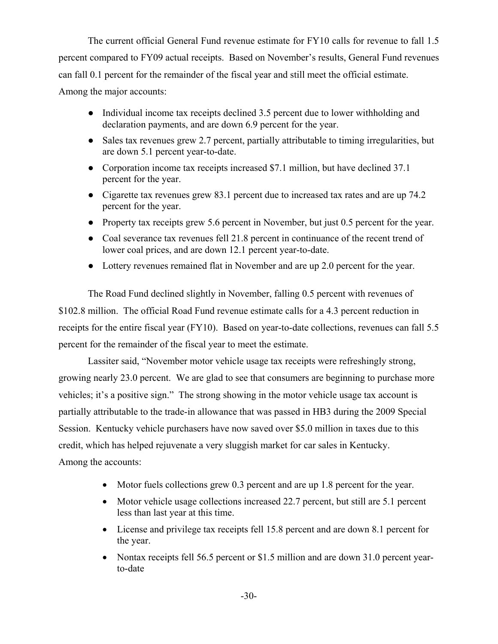The current official General Fund revenue estimate for FY10 calls for revenue to fall 1.5 percent compared to FY09 actual receipts. Based on November's results, General Fund revenues can fall 0.1 percent for the remainder of the fiscal year and still meet the official estimate. Among the major accounts:

- Individual income tax receipts declined 3.5 percent due to lower withholding and declaration payments, and are down 6.9 percent for the year.
- Sales tax revenues grew 2.7 percent, partially attributable to timing irregularities, but are down 5.1 percent year-to-date.
- Corporation income tax receipts increased \$7.1 million, but have declined 37.1 percent for the year.
- Cigarette tax revenues grew 83.1 percent due to increased tax rates and are up 74.2 percent for the year.
- Property tax receipts grew 5.6 percent in November, but just 0.5 percent for the year.
- Coal severance tax revenues fell 21.8 percent in continuance of the recent trend of lower coal prices, and are down 12.1 percent year-to-date.
- Lottery revenues remained flat in November and are up 2.0 percent for the year.

The Road Fund declined slightly in November, falling 0.5 percent with revenues of \$102.8 million. The official Road Fund revenue estimate calls for a 4.3 percent reduction in receipts for the entire fiscal year (FY10). Based on year-to-date collections, revenues can fall 5.5 percent for the remainder of the fiscal year to meet the estimate.

Lassiter said, "November motor vehicle usage tax receipts were refreshingly strong, growing nearly 23.0 percent. We are glad to see that consumers are beginning to purchase more vehicles; it's a positive sign." The strong showing in the motor vehicle usage tax account is partially attributable to the trade-in allowance that was passed in HB3 during the 2009 Special Session. Kentucky vehicle purchasers have now saved over \$5.0 million in taxes due to this credit, which has helped rejuvenate a very sluggish market for car sales in Kentucky. Among the accounts:

- Motor fuels collections grew 0.3 percent and are up 1.8 percent for the year.
- Motor vehicle usage collections increased 22.7 percent, but still are 5.1 percent less than last year at this time.
- License and privilege tax receipts fell 15.8 percent and are down 8.1 percent for the year.
- Nontax receipts fell 56.5 percent or \$1.5 million and are down 31.0 percent yearto-date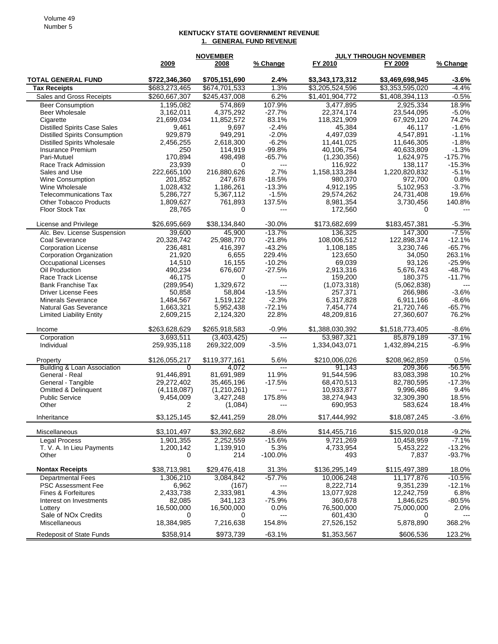## **KENTUCKY STATE GOVERNMENT REVENUE 1. GENERAL FUND REVENUE**

|                                                         |                     | <b>NOVEMBER</b>      |                     | <b>JULY THROUGH NOVEMBER</b> |                       |                    |
|---------------------------------------------------------|---------------------|----------------------|---------------------|------------------------------|-----------------------|--------------------|
|                                                         | 2009                | 2008                 | % Change            | FY 2010                      | FY 2009               | % Change           |
| <b>TOTAL GENERAL FUND</b>                               | \$722,346,360       | \$705,151,690        | 2.4%                | \$3,343,173,312              | \$3,469,698,945       | $-3.6%$            |
| <b>Tax Receipts</b>                                     | \$683,273,465       | \$674,701,533        | 1.3%                | \$3,205,524,596              | \$3,353,595,020       | $-4.4%$            |
| Sales and Gross Receipts                                | \$260,667,307       | \$245,437,008        | 6.2%                | \$1,401,904,772              | \$1,408,394,113       | $-0.5%$            |
| <b>Beer Consumption</b>                                 | 1,195,082           | 574,869              | 107.9%              | 3,477,895                    | 2,925,334             | 18.9%              |
| Beer Wholesale                                          | 3,162,011           | 4,375,292            | $-27.7%$            | 22,374,174                   | 23,544,095            | $-5.0%$            |
| Cigarette                                               | 21,699,034          | 11,852,572           | 83.1%               | 118,321,909                  | 67,929,120            | 74.2%              |
| <b>Distilled Spirits Case Sales</b>                     | 9,461               | 9,697                | $-2.4%$             | 45,384                       | 46,117                | $-1.6%$            |
| <b>Distilled Spirits Consumption</b>                    | 929,879             | 949,291              | $-2.0%$             | 4,497,039                    | 4,547,891             | $-1.1%$            |
| <b>Distilled Spirits Wholesale</b>                      | 2,456,255           | 2,618,300            | $-6.2%$             | 11,441,025                   | 11,646,305            | $-1.8%$            |
| Insurance Premium                                       | 250                 | 114,919              | $-99.8%$            | 40,106,754                   | 40,633,809            | $-1.3%$            |
| Pari-Mutuel                                             | 170,894             | 498,498              | $-65.7%$            | (1,230,356)                  | 1,624,975             | $-175.7%$          |
| Race Track Admission                                    | 23,939              | 0                    | ---                 | 116,922                      | 138,117               | $-15.3%$           |
| Sales and Use                                           | 222,665,100         | 216,880,626          | 2.7%                | 1,158,133,284                | 1,220,820,832         | $-5.1%$            |
| <b>Wine Consumption</b>                                 | 201,852             | 247,678              | $-18.5%$            | 980,370                      | 972,700               | 0.8%               |
| Wine Wholesale                                          | 1,028,432           | 1,186,261            | $-13.3%$            | 4,912,195                    | 5,102,953             | $-3.7%$            |
| <b>Telecommunications Tax</b>                           | 5,286,727           | 5,367,112            | $-1.5%$             | 29,574,262                   | 24,731,408            | 19.6%              |
| <b>Other Tobacco Products</b>                           | 1,809,627           | 761,893              | 137.5%              | 8,981,354                    | 3,730,456             | 140.8%             |
| Floor Stock Tax                                         | 28,765              | 0                    | $\overline{a}$      | 172,560                      | $\Omega$              | $---$              |
| License and Privilege                                   | \$26,695,669        | \$38,134,840         | $-30.0%$            | \$173,682,699                | \$183,457,381         | $-5.3%$            |
| Alc. Bev. License Suspension                            | 39,600              | 45,900               | $-13.7%$            | 136,325                      | 147,300               | $-7.5%$            |
| Coal Severance                                          | 20,328,742          | 25,988,770           | $-21.8%$            | 108,006,512                  | 122,898,374           | $-12.1%$           |
| <b>Corporation License</b>                              | 236,481             | 416,397              | $-43.2%$            | 1,108,185                    | 3,230,746             | $-65.7%$           |
| Corporation Organization                                | 21,920              | 6,655                | 229.4%              | 123,650                      | 34,050                | 263.1%             |
| Occupational Licenses                                   | 14,510              | 16,155               | $-10.2%$            | 69,039                       | 93.126                | $-25.9%$           |
| Oil Production                                          | 490,234             | 676,607              | $-27.5%$            | 2,913,316                    | 5,676,743             | $-48.7%$           |
| Race Track License                                      | 46,175              | 0                    | $\overline{a}$      | 159.200                      | 180,375               | $-11.7%$           |
| <b>Bank Franchise Tax</b>                               | (289, 954)          | 1,329,672            | $\overline{a}$      | (1,073,318)                  | (5,062,838)           | $---$              |
| <b>Driver License Fees</b><br><b>Minerals Severance</b> | 50,858<br>1,484,567 | 58,804<br>1,519,122  | $-13.5%$<br>$-2.3%$ | 257,371<br>6,317,828         | 266,986<br>6,911,166  | $-3.6%$<br>$-8.6%$ |
| <b>Natural Gas Severance</b>                            | 1,663,321           | 5,952,438            | $-72.1%$            | 7,454,774                    | 21,720,746            | $-65.7%$           |
| <b>Limited Liability Entity</b>                         | 2,609,215           | 2,124,320            | 22.8%               | 48,209,816                   | 27,360,607            | 76.2%              |
|                                                         |                     |                      |                     |                              |                       |                    |
| Income                                                  | \$263,628,629       | \$265,918,583        | $-0.9%$             | \$1,388,030,392              | \$1,518,773,405       | $-8.6%$            |
| Corporation                                             | 3,693,511           | (3,403,425)          | $\overline{a}$      | 53,987,321                   | 85,879,189            | $-37.1%$           |
| Individual                                              | 259,935,118         | 269,322,009          | $-3.5%$             | 1,334,043,071                | 1,432,894,215         | $-6.9%$            |
| Property                                                | \$126,055,217       | \$119,377,161        | 5.6%                | \$210,006,026                | \$208,962,859         | 0.5%               |
| Building & Loan Association                             | $\Omega$            | 4,072                | $---$               | 91,143                       | 209.366               | $-56.5\%$          |
| General - Real                                          | 91,446,891          | 81,691,989           | 11.9%               | 91,544,596                   | 83,083,398            | 10.2%              |
| General - Tangible                                      | 29,272,402          | 35,465,196           | $-17.5%$            | 68,470,513                   | 82,780,595            | $-17.3%$           |
| Omitted & Delinquent<br><b>Public Service</b>           | (4, 118, 087)       | (1,210,261)          | $---$<br>175.8%     | 10,933,877                   | 9,996,486             | 9.4%<br>18.5%      |
| Other                                                   | 9,454,009<br>2      | 3,427,248<br>(1,084) | $---$               | 38,274,943<br>690,953        | 32,309,390<br>583,624 | 18.4%              |
|                                                         |                     |                      |                     |                              |                       |                    |
| Inheritance                                             | \$3,125,145         | \$2,441,259          | 28.0%               | \$17,444,992                 | \$18,087,245          | $-3.6%$            |
| Miscellaneous                                           | \$3,101,497         | \$3,392,682          | $-8.6%$             | \$14,455,716                 | \$15,920,018          | $-9.2%$            |
| <b>Legal Process</b>                                    | 1,901,355           | 2,252,559            | $-15.6%$            | 9,721,269                    | 10,458,959            | $-7.1%$            |
| T. V. A. In Lieu Payments                               | 1,200,142           | 1,139,910            | 5.3%                | 4,733,954                    | 5,453,222             | $-13.2%$           |
| Other                                                   | 0                   | 214                  | $-100.0%$           | 493                          | 7,837                 | $-93.7%$           |
| <b>Nontax Receipts</b>                                  | \$38,713,981        | \$29,476,418         | 31.3%               | \$136,295,149                | \$115,497,389         | 18.0%              |
| <b>Departmental Fees</b>                                | 1,306,210           | 3,084,842            | $-57.7%$            | 10,006,248                   | 11,177,876            | $-10.5%$           |
| <b>PSC Assessment Fee</b>                               | 6,962               | (167)                |                     | 8,222,714                    | 9,351,239             | $-12.1%$           |
| Fines & Forfeitures                                     | 2,433,738           | 2,333,981            | 4.3%                | 13,077,928                   | 12,242,759            | 6.8%               |
| Interest on Investments                                 | 82,085              | 341,123              | $-75.9%$            | 360,678                      | 1,846,625             | $-80.5%$           |
| Lottery                                                 | 16,500,000          | 16,500,000           | 0.0%                | 76,500,000                   | 75,000,000            | 2.0%               |
| Sale of NO <sub>x</sub> Credits                         | 0                   | 0                    | ---                 | 601,430                      | 0                     |                    |
| Miscellaneous                                           | 18,384,985          | 7,216,638            | 154.8%              | 27,526,152                   | 5,878,890             | 368.2%             |
| Redeposit of State Funds                                | \$358,914           | \$973,739            | $-63.1%$            | \$1,353,567                  | \$606,536             | 123.2%             |